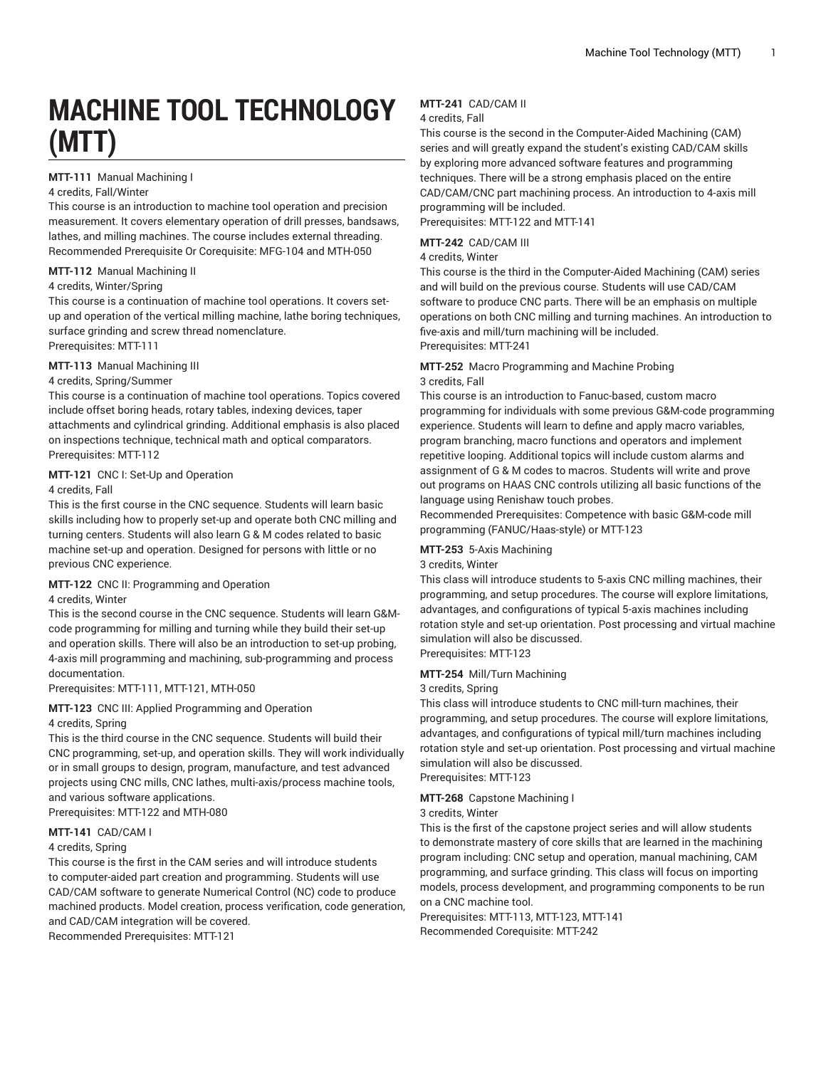# **MACHINE TOOL TECHNOLOGY (MTT)**

# **MTT-111** Manual Machining I

# 4 credits, Fall/Winter

This course is an introduction to machine tool operation and precision measurement. It covers elementary operation of drill presses, bandsaws, lathes, and milling machines. The course includes external threading. Recommended Prerequisite Or Corequisite: MFG-104 and MTH-050

#### **MTT-112** Manual Machining II

# 4 credits, Winter/Spring

This course is a continuation of machine tool operations. It covers setup and operation of the vertical milling machine, lathe boring techniques, surface grinding and screw thread nomenclature. Prerequisites: MTT-111

#### **MTT-113** Manual Machining III

#### 4 credits, Spring/Summer

This course is a continuation of machine tool operations. Topics covered include offset boring heads, rotary tables, indexing devices, taper attachments and cylindrical grinding. Additional emphasis is also placed on inspections technique, technical math and optical comparators. Prerequisites: MTT-112

#### **MTT-121** CNC I: Set-Up and Operation

#### 4 credits, Fall

This is the first course in the CNC sequence. Students will learn basic skills including how to properly set-up and operate both CNC milling and turning centers. Students will also learn G & M codes related to basic machine set-up and operation. Designed for persons with little or no previous CNC experience.

#### **MTT-122** CNC II: Programming and Operation

# 4 credits, Winter

This is the second course in the CNC sequence. Students will learn G&Mcode programming for milling and turning while they build their set-up and operation skills. There will also be an introduction to set-up probing, 4-axis mill programming and machining, sub-programming and process documentation.

#### Prerequisites: MTT-111, MTT-121, MTH-050

# **MTT-123** CNC III: Applied Programming and Operation

#### 4 credits, Spring

This is the third course in the CNC sequence. Students will build their CNC programming, set-up, and operation skills. They will work individually or in small groups to design, program, manufacture, and test advanced projects using CNC mills, CNC lathes, multi-axis/process machine tools, and various software applications.

Prerequisites: MTT-122 and MTH-080

# **MTT-141** CAD/CAM I

#### 4 credits, Spring

This course is the first in the CAM series and will introduce students to computer-aided part creation and programming. Students will use CAD/CAM software to generate Numerical Control (NC) code to produce machined products. Model creation, process verification, code generation, and CAD/CAM integration will be covered.

Recommended Prerequisites: MTT-121

# **MTT-241** CAD/CAM II

# 4 credits, Fall

This course is the second in the Computer-Aided Machining (CAM) series and will greatly expand the student's existing CAD/CAM skills by exploring more advanced software features and programming techniques. There will be a strong emphasis placed on the entire CAD/CAM/CNC part machining process. An introduction to 4-axis mill programming will be included.

Prerequisites: MTT-122 and MTT-141

#### **MTT-242** CAD/CAM III

#### 4 credits, Winter

This course is the third in the Computer-Aided Machining (CAM) series and will build on the previous course. Students will use CAD/CAM software to produce CNC parts. There will be an emphasis on multiple operations on both CNC milling and turning machines. An introduction to five-axis and mill/turn machining will be included. Prerequisites: MTT-241

#### **MTT-252** Macro Programming and Machine Probing 3 credits, Fall

This course is an introduction to Fanuc-based, custom macro programming for individuals with some previous G&M-code programming experience. Students will learn to define and apply macro variables, program branching, macro functions and operators and implement repetitive looping. Additional topics will include custom alarms and assignment of G & M codes to macros. Students will write and prove out programs on HAAS CNC controls utilizing all basic functions of the language using Renishaw touch probes.

Recommended Prerequisites: Competence with basic G&M-code mill programming (FANUC/Haas-style) or MTT-123

#### **MTT-253** 5-Axis Machining

#### 3 credits, Winter

This class will introduce students to 5-axis CNC milling machines, their programming, and setup procedures. The course will explore limitations, advantages, and configurations of typical 5-axis machines including rotation style and set-up orientation. Post processing and virtual machine simulation will also be discussed. Prerequisites: MTT-123

#### **MTT-254** Mill/Turn Machining

#### 3 credits, Spring

This class will introduce students to CNC mill-turn machines, their programming, and setup procedures. The course will explore limitations, advantages, and configurations of typical mill/turn machines including rotation style and set-up orientation. Post processing and virtual machine simulation will also be discussed. Prerequisites: MTT-123

#### **MTT-268** Capstone Machining I

#### 3 credits, Winter

This is the first of the capstone project series and will allow students to demonstrate mastery of core skills that are learned in the machining program including: CNC setup and operation, manual machining, CAM programming, and surface grinding. This class will focus on importing models, process development, and programming components to be run on a CNC machine tool.

Prerequisites: MTT-113, MTT-123, MTT-141 Recommended Corequisite: MTT-242